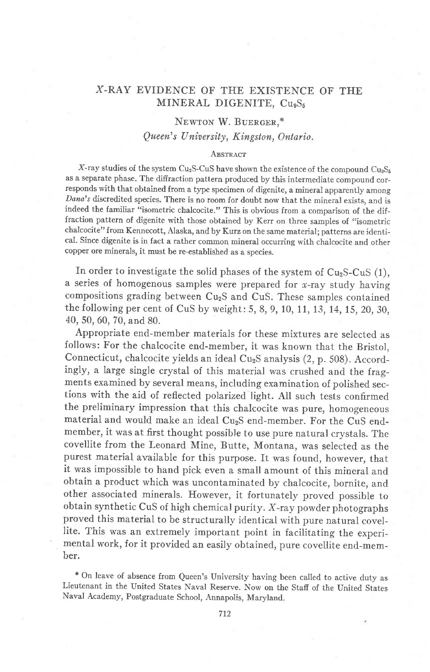# X-RAY EVIDENCE OF THE EXISTENCE OF THE MINERAL DIGENITE, Cu<sub>9</sub>S<sub>5</sub>

# NEWTON W. BUERGER,\*

## Queen's University, Kingston, Ontario.

#### **ABSTRACT**

X-ray studies of the system Cu<sub>2</sub>S-CuS have shown the existence of the compound Cu<sub>3</sub>S<sub>5</sub> as a separate phase. The difiraction pattern produced by this intermediate compound corresponds with that obtained from a type specimen of digenite, a mineral apparently among Dana's discredited species. There is no room for doubt now that the mineral exists, and is indeed the familiar "isometric chalcocite." This is obvious from a comparison of the diffraction pattern of digenite with those obtained by Kerr on three samples of "isometric chalcocite" from Kennecott, Alaska, and by Kurz on the same material; patterns are identical. Since digenite is in fact a rather common mineral occurring with chalcocite and other copper ore minerals, it must be re-established as a species.

In order to investigate the solid phases of the system of  $Cu<sub>2</sub>S-CuS$  (1), a series of homogenous samples were prepared for  $x$ -ray study having compositions grading between CuzS and CuS. These samples contained the following per cent of CuS by weight:5, 8, 9, 10, 11, 13,14,15, 20, 30, 40, 50,60, 70, and 80.

Appropriate end-member materials for these mixtures are selected as follows: For the chalcocite end-member, it was known that the Bristol, Connecticut, chalcocite yields an ideal Cu<sub>2</sub>S analysis (2, p. 508). Accordingly, a large single crystal of this material was crushed and the fragments examined by several means, including examination of polished sections with the aid of reflected polarized light. All such tests confirmed the preliminary impression that this chalcocite was pure, homogeneous material and would make an ideal Cu<sub>2</sub>S end-member. For the CuS endmember, it was at first thought possible to use pure natural crystals. The covellite from the Leonard Mine, Butte, Montana, was selected as the purest material available for this purpose. It was found, however, that it was impossible to hand pick even a small amount of this mineral and obtain a product which was uncontaminated by chalcocite, bornite, and other associated minerals. However, it fortunately proved possible to obtain synthetic CuS of high chemical purity. X-ray powder photographs proved this material to be structurally identical with pure natural covellite. This was an extremely important point in facilitating the experimental work, for it provided an easily obtained, pure covellite end-member.

+ on leave of absence from Queen's university having been called to active duty as Lieutenant in the United States Naval Reserve. Now on the Staff of the United States Naval Academy, Postgraduate School, Annapolis, Maryland.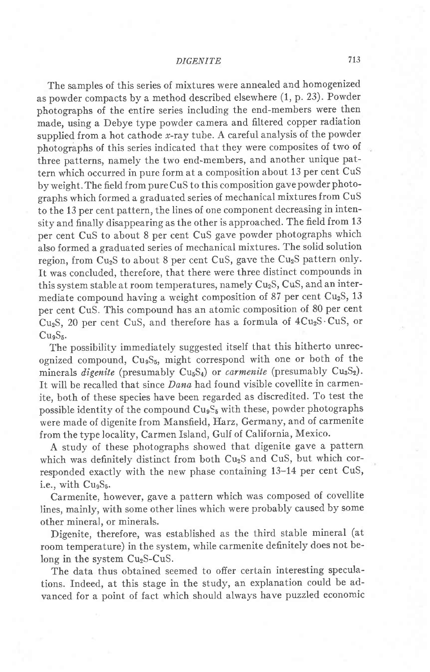### DIGENITE

The samples of this series of mixtures were annealed and homogenized as powder compacts by a method described elsewhere (I,p.23). Powder photographs of the entire series including the end-members were then made, using a Debye type powder camera and filtered copper radiation supplied from a hot cathode  $x$ -ray tube. A careful analysis of the powder photographs of this series indicated that they were composites of two of three patterns, namely the two end-members, and another unique pattern which occurred in pure form at a composition about 13 per cent CuS by weight. The field from pure CuS to this composition gave powder photographs which formed a graduated series of mechanical mixtures from CUS to the 13 per cent pattern, the lines of one component decreasing in intensity and finally disappearing as the other is approached. The field from 13 per cent CuS to about 8 per cent CuS gave powder photographs which also formed a graduated series of mechanical mixtures. The solid solution region, from Cu<sub>2</sub>S to about 8 per cent CuS, gave the Cu<sub>2</sub>S pattern only. It was concluded, therefore, that there were three distinct compounds in this system stable at room temperatures, namely  $Cu<sub>2</sub>S$ ,  $CuS$ , and an intermediate compound having a weight composition of 87 per cent  $Cu<sub>2</sub>S$ , 13 per cent CuS. This compound has an atomic composition of 80 per cent Cu<sub>2</sub>S, 20 per cent CuS, and therefore has a formula of  $4Cu<sub>2</sub>S\cdot CuS$ , or Cu<sub>g</sub>S<sub>5</sub>.

The possibility immediately suggested itself that this hitherto unrecognized compound,  $Cu<sub>9</sub>S<sub>5</sub>$ , might correspond with one or both of the minerals *digenite* (presumably  $Cu<sub>5</sub>S<sub>4</sub>$ ) or *carmenite* (presumably  $Cu<sub>3</sub>S<sub>2</sub>$ ). It will be recalled that since Dana had found visible covellite in carmenite, both of these species have been regarded as discredited. To test the possible identity of the compound Cu<sub>9</sub>S<sub>5</sub> with these, powder photographs were made of digenite from Mansfield, Harz, Germany, and of carmenite from the type locality, Carmen Island, Gulf of California, Mexico.

A study of these photographs showed that digenite gave a pattern which was definitely distinct from both Cu<sub>2</sub>S and CuS, but which corresponded exactly with the new phase containing 13-14 per cent CuS, i.e., with  $Cu<sub>9</sub>S<sub>5</sub>$ .

Carmenite, however, gave a pattern which was composed of coveliite lines, mainly, with some other lines which were probably caused by some other mineral, or minerals.

Digenite, therefore, was established as the third stable mineral (at room temperature) in the system, while carmenite definitely does not belong in the system  $Cu<sub>2</sub>S-CuS$ .

The data thus obtained seemed to offer certain interesting speculations. fndeed, at this stage in the study, an explanation could be advanced for a point of fact which should always have puzzled economic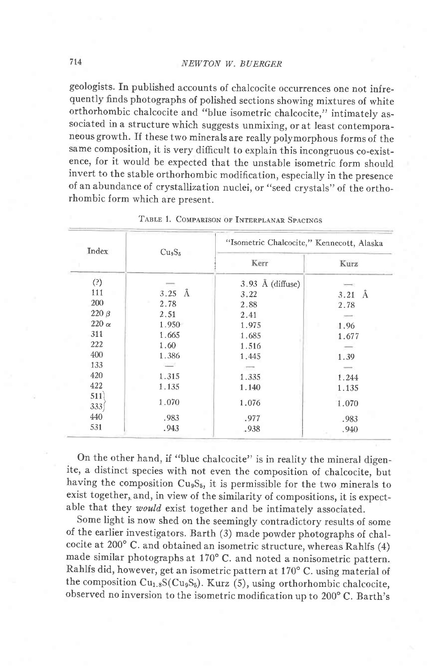geologists. In published accounts of chalcocite occurrences one not infrequently finds photographs of polished sections showing mixtures of white orthorhombic chalcocite and "blue isometric chalcocite," intimately associated in a structure which suggests unmixing, or at least contemporaneous growth. If these two minerals are really polymorphous forms of the same composition, it is very difficult to explain this incongruous co-existence, for it would be expected that the unstable isometric form should invert to the stable orthorhombic modification, especially in the presence of an abundance of crystallization nuclei, or "seed crystals" of the orthorhombic form which are present.

| Index        | Cu <sub>9</sub> S <sub>5</sub> | "Isometric Chalcocite," Kennecott, Alaska |           |  |  |  |  |  |
|--------------|--------------------------------|-------------------------------------------|-----------|--|--|--|--|--|
|              |                                | Kerr                                      | Kurz      |  |  |  |  |  |
| (?)          |                                | $3.93 \text{ Å}$ (diffuse)                |           |  |  |  |  |  |
| 111          | $3.25\ \text{\AA}$             | 3.22                                      | Å<br>3.21 |  |  |  |  |  |
| 200          | 2.78                           | 2.88                                      | 2.78      |  |  |  |  |  |
| $220\beta$   | 2.51                           | 2.41                                      |           |  |  |  |  |  |
| $220 \alpha$ | 1.950                          | 1.975                                     | 1.96      |  |  |  |  |  |
| 311          | 1.665                          | 1.685                                     | 1.677     |  |  |  |  |  |
| 222          | 1.60                           | 1.516                                     |           |  |  |  |  |  |
| 400          | 1.386                          | 1.445                                     | 1.39      |  |  |  |  |  |
| 133          |                                |                                           |           |  |  |  |  |  |
| 420          | 1.315                          | 1.335                                     | 1.244     |  |  |  |  |  |
| 422          | 1.135                          | 1.140                                     | 1.135     |  |  |  |  |  |
| 511<br>333   | 1.070                          | 1.076                                     | 1.070     |  |  |  |  |  |
| 440          | .983                           | .977                                      | .983      |  |  |  |  |  |
| 531          | .943                           | .938                                      | .940      |  |  |  |  |  |

TABLE 1. COMPARISON OF INTERPLANAR SPACINGS.

On the other hand, if "blue chalcocite" is in reality the mineral digenite, a distinct species with not even the composition of chalcocite, but having the composition  $Cu_9S_5$ , it is permissible for the two minerals to exist together, and, in view of the similarity of compositions, it is expectable that they would exist together and be intimately associated.

Some light is now shed on the seemingly contradictory results of sorne of the earlier investigators. Barth (3) made powder photographs of chalcocite at 200' c. and obtained an isometric structure, whereas Rahlfs (4) made similar photographs at  $170^{\circ}$  C. and noted a nonisometric pattern. Rahlfs did, however, get an isometric pattern at 170" C. using material of the composition  $Cu_{1.8}S(Cu_9S_5)$ . Kurz (5), using orthorhombic chalcocite, observed no inversion to the isometric modification up to 200°C. Barth's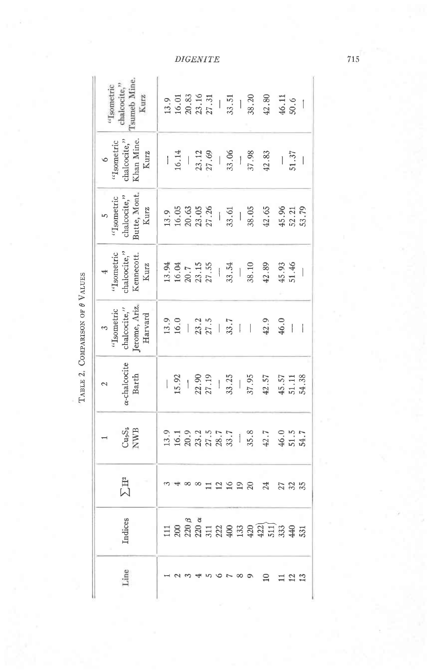| $\int$ sumeb Mine<br>'Isometric<br>chalcocite,"                      |  |  |  |      |  | $\begin{array}{cccc}\n13.9 & 0.01 & 0.01 & 0.01 & 0.01 & 0.01 & 0.01 & 0.01 & 0.01 & 0.01 & 0.01 & 0.01 & 0.01 & 0.01 & 0.01 & 0.01 & 0.01 & 0.01 & 0.01 & 0.01 & 0.01 & 0.01 & 0.01 & 0.01 & 0.01 & 0.01 & 0.01 & 0.01 & 0.01 & 0.01 & 0.01 & 0.01 & 0.01 & 0.01 & 0.01 & 0.$                                                             |            |                          |
|----------------------------------------------------------------------|--|--|--|------|--|--------------------------------------------------------------------------------------------------------------------------------------------------------------------------------------------------------------------------------------------------------------------------------------------------------------------------------------------|------------|--------------------------|
| Khan Mine.<br>Kurz<br>6<br>Isometric<br>halcocite,'                  |  |  |  |      |  | $\frac{16.14}{23.12}$ $\frac{13.30}{23.12}$ $\frac{8}{33.12}$ $\frac{8}{33.12}$ $\frac{8}{33.12}$ $\frac{8}{33.12}$ $\frac{13}{33.12}$ $\frac{13}{33.12}$                                                                                                                                                                                  |            |                          |
| chalcocite,"<br>Butte, Mont,<br>Kurz<br>$_{\rm 5}$ $_{\rm 50metric}$ |  |  |  |      |  |                                                                                                                                                                                                                                                                                                                                            |            |                          |
| $^4$ "Isometric chalcocite,"<br>Ennecott.<br>Kennecott.<br>Kurz      |  |  |  |      |  | $\begin{array}{cccc}\n 13.94 & 13.94 \\ 14.92 & 1.5 \\ 24.1 & 1.5 \\ 25.1 & 1.5 \\ 26.1 & 1.5 \\ 27.1 & 1.5 \\ 28.1 & 1.5 \\ 29.1 & 1.5 \\ 20.1 & 1.5 \\ 21.1 & 1.5 \\ 22.1 & 1.5 \\ 23.1 & 1.5 \\ 24.1 & 1.5 \\ 25.1 & 1.5 \\ 26.1 & 1.5 \\ 27.1 & 1.5 \\ 28.1 & 1.5 \\ 29.1 & 1.5 \\ 20.1 & 1.5$                                         |            |                          |
| $^3$<br>"Isometric chalcocite,"<br>Jerome, Ariz, Harvard             |  |  |  |      |  |                                                                                                                                                                                                                                                                                                                                            |            | $\overline{\phantom{a}}$ |
| e-chalcocite<br>Barth                                                |  |  |  |      |  | $\frac{1}{15}$ , $\frac{3}{27}$ , $\frac{3}{27}$ , $\frac{3}{27}$ , $\frac{3}{27}$ , $\frac{3}{27}$ , $\frac{3}{27}$ , $\frac{3}{27}$ , $\frac{3}{27}$ , $\frac{3}{27}$ , $\frac{3}{27}$ , $\frac{3}{27}$ , $\frac{3}{27}$ , $\frac{3}{27}$ , $\frac{3}{27}$ , $\frac{3}{27}$ , $\frac{3}{27}$ , $\frac{3}{27}$ , $\frac{3$                |            |                          |
| $Cu9S5$<br>NWB                                                       |  |  |  |      |  |                                                                                                                                                                                                                                                                                                                                            |            |                          |
| $\Sigma$ H <sup>2</sup>                                              |  |  |  | 2928 |  | 24                                                                                                                                                                                                                                                                                                                                         | 27.85      |                          |
| Indices                                                              |  |  |  |      |  | $\Xi \overset{\mathtt{o}}{\mathtt{S}} \overset{\mathtt{a}}{\mathtt{S}} \overset{\mathtt{a}}{\mathtt{S}} \Xi \overset{\mathtt{a}}{\mathtt{S}} \Xi \overset{\mathtt{a}}{\mathtt{S}} \Xi \overset{\mathtt{a}}{\mathtt{S}} \Xi \overset{\mathtt{a}}{\mathtt{S}} \Xi \overset{\mathtt{a}}{\mathtt{S}} \Xi \overset{\mathtt{a}}{\mathtt{S}} \Xi$ |            |                          |
| Line                                                                 |  |  |  |      |  |                                                                                                                                                                                                                                                                                                                                            | <u>ಇ ಇ</u> |                          |

TABLE 2. COMPARISON OF  $\theta$  VALUES

**DIGENITE** 

 $715$